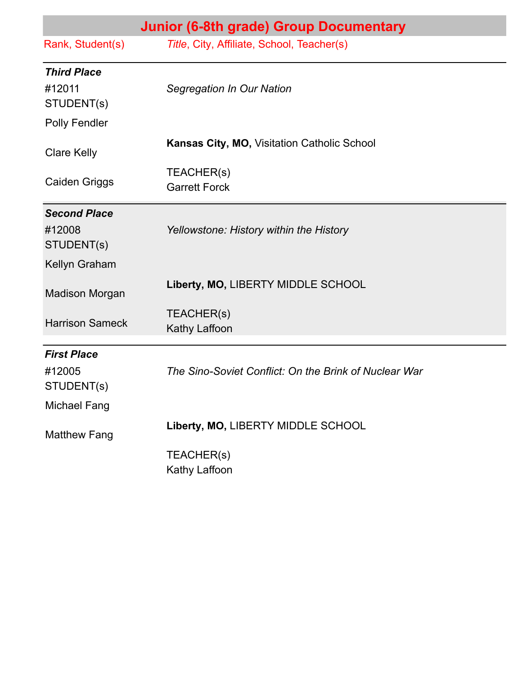|                        | Junior (6-8th grade) Group Documentary                |
|------------------------|-------------------------------------------------------|
| Rank, Student(s)       | Title, City, Affiliate, School, Teacher(s)            |
| <b>Third Place</b>     |                                                       |
| #12011<br>STUDENT(s)   | Segregation In Our Nation                             |
| Polly Fendler          |                                                       |
| <b>Clare Kelly</b>     | Kansas City, MO, Visitation Catholic School           |
| <b>Caiden Griggs</b>   | TEACHER(s)<br><b>Garrett Forck</b>                    |
| <b>Second Place</b>    |                                                       |
| #12008<br>STUDENT(s)   | Yellowstone: History within the History               |
| Kellyn Graham          |                                                       |
| <b>Madison Morgan</b>  | Liberty, MO, LIBERTY MIDDLE SCHOOL                    |
| <b>Harrison Sameck</b> | TEACHER(s)<br>Kathy Laffoon                           |
| <b>First Place</b>     |                                                       |
| #12005<br>STUDENT(s)   | The Sino-Soviet Conflict: On the Brink of Nuclear War |
| <b>Michael Fang</b>    |                                                       |
| <b>Matthew Fang</b>    | Liberty, MO, LIBERTY MIDDLE SCHOOL                    |
|                        | TEACHER(s)<br>Kathy Laffoon                           |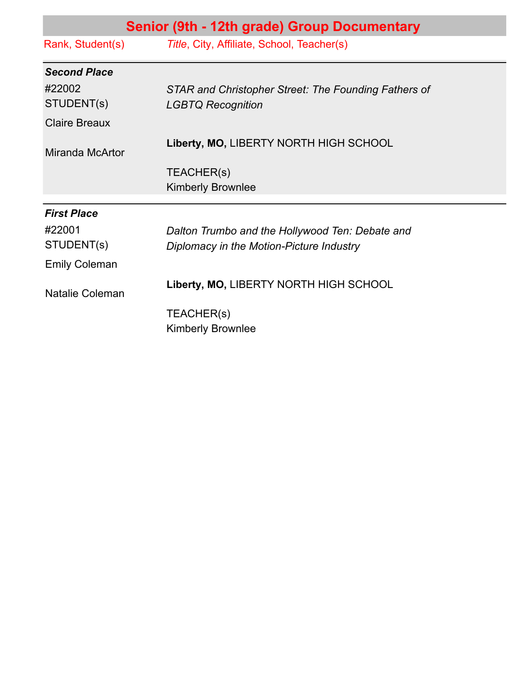| Senior (9th - 12th grade) Group Documentary |                                                      |
|---------------------------------------------|------------------------------------------------------|
| Rank, Student(s)                            | Title, City, Affiliate, School, Teacher(s)           |
| <b>Second Place</b>                         |                                                      |
| #22002                                      | STAR and Christopher Street: The Founding Fathers of |
| STUDENT(s)                                  | <b>LGBTQ Recognition</b>                             |
| <b>Claire Breaux</b>                        |                                                      |
| Miranda McArtor                             | Liberty, MO, LIBERTY NORTH HIGH SCHOOL               |
|                                             | TEACHER(s)                                           |
|                                             | <b>Kimberly Brownlee</b>                             |
| <b>First Place</b>                          |                                                      |
| #22001                                      | Dalton Trumbo and the Hollywood Ten: Debate and      |
| STUDENT(s)                                  | Diplomacy in the Motion-Picture Industry             |
| <b>Emily Coleman</b>                        |                                                      |
| Natalie Coleman                             | Liberty, MO, LIBERTY NORTH HIGH SCHOOL               |
|                                             | TEACHER(s)<br><b>Kimberly Brownlee</b>               |
|                                             |                                                      |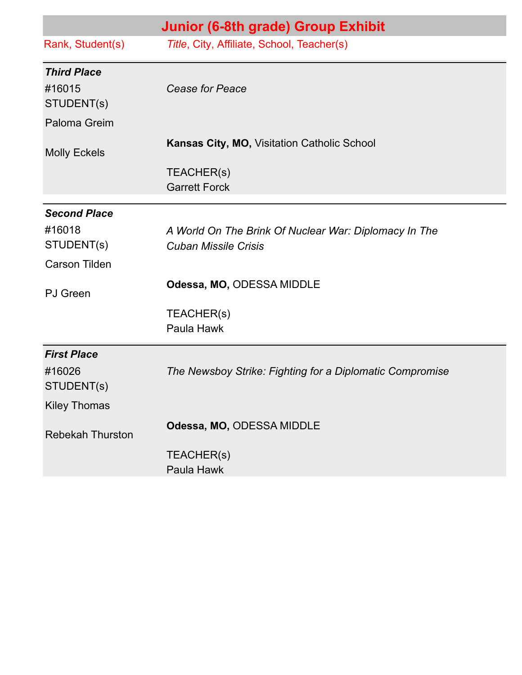|                         | Junior (6-8th grade) Group Exhibit                                                   |
|-------------------------|--------------------------------------------------------------------------------------|
| Rank, Student(s)        | Title, City, Affiliate, School, Teacher(s)                                           |
| <b>Third Place</b>      |                                                                                      |
| #16015<br>STUDENT(s)    | <b>Cease for Peace</b>                                                               |
| Paloma Greim            |                                                                                      |
| <b>Molly Eckels</b>     | <b>Kansas City, MO, Visitation Catholic School</b>                                   |
|                         | TEACHER(s)<br><b>Garrett Forck</b>                                                   |
| <b>Second Place</b>     |                                                                                      |
| #16018<br>STUDENT(s)    | A World On The Brink Of Nuclear War: Diplomacy In The<br><b>Cuban Missile Crisis</b> |
| <b>Carson Tilden</b>    |                                                                                      |
| <b>PJ</b> Green         | Odessa, MO, ODESSA MIDDLE                                                            |
|                         | TEACHER(s)                                                                           |
|                         | Paula Hawk                                                                           |
| <b>First Place</b>      |                                                                                      |
| #16026<br>STUDENT(s)    | The Newsboy Strike: Fighting for a Diplomatic Compromise                             |
| <b>Kiley Thomas</b>     |                                                                                      |
| <b>Rebekah Thurston</b> | Odessa, MO, ODESSA MIDDLE                                                            |
|                         | TEACHER(s)<br>Paula Hawk                                                             |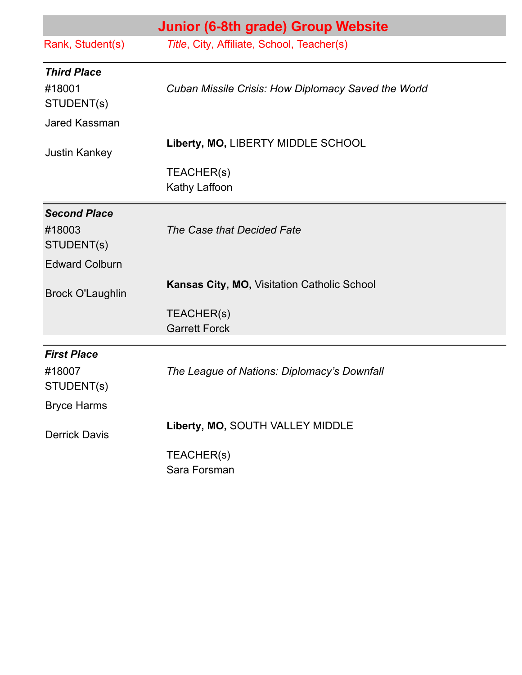|                              | Junior (6-8th grade) Group Website                  |
|------------------------------|-----------------------------------------------------|
| Rank, Student(s)             | Title, City, Affiliate, School, Teacher(s)          |
| <b>Third Place</b><br>#18001 | Cuban Missile Crisis: How Diplomacy Saved the World |
| STUDENT(s)                   |                                                     |
| Jared Kassman                |                                                     |
| <b>Justin Kankey</b>         | Liberty, MO, LIBERTY MIDDLE SCHOOL                  |
|                              | TEACHER(s)                                          |
|                              | Kathy Laffoon                                       |
| <b>Second Place</b>          |                                                     |
| #18003<br>STUDENT(s)         | The Case that Decided Fate                          |
| <b>Edward Colburn</b>        |                                                     |
| <b>Brock O'Laughlin</b>      | <b>Kansas City, MO, Visitation Catholic School</b>  |
|                              | TEACHER(s)                                          |
|                              | <b>Garrett Forck</b>                                |
| <b>First Place</b>           |                                                     |
| #18007<br>STUDENT(s)         | The League of Nations: Diplomacy's Downfall         |
| <b>Bryce Harms</b>           |                                                     |
| <b>Derrick Davis</b>         | Liberty, MO, SOUTH VALLEY MIDDLE                    |
|                              | TEACHER(s)<br>Sara Forsman                          |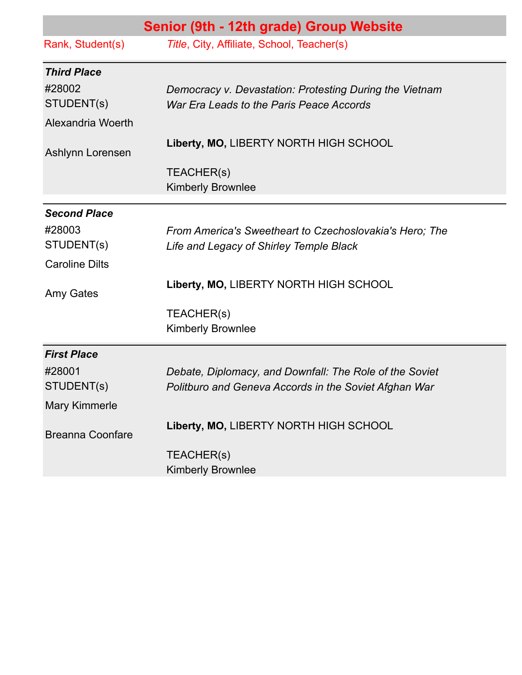|                         | Senior (9th - 12th grade) Group Website                 |
|-------------------------|---------------------------------------------------------|
| Rank, Student(s)        | Title, City, Affiliate, School, Teacher(s)              |
| <b>Third Place</b>      |                                                         |
| #28002                  | Democracy v. Devastation: Protesting During the Vietnam |
| STUDENT(s)              | War Era Leads to the Paris Peace Accords                |
| Alexandria Woerth       |                                                         |
| Ashlynn Lorensen        | Liberty, MO, LIBERTY NORTH HIGH SCHOOL                  |
|                         | TEACHER(s)                                              |
|                         | <b>Kimberly Brownlee</b>                                |
| <b>Second Place</b>     |                                                         |
| #28003                  | From America's Sweetheart to Czechoslovakia's Hero; The |
| STUDENT(s)              | Life and Legacy of Shirley Temple Black                 |
| <b>Caroline Dilts</b>   |                                                         |
| Amy Gates               | Liberty, MO, LIBERTY NORTH HIGH SCHOOL                  |
|                         | TEACHER(s)                                              |
|                         | <b>Kimberly Brownlee</b>                                |
| <b>First Place</b>      |                                                         |
| #28001                  | Debate, Diplomacy, and Downfall: The Role of the Soviet |
| STUDENT(s)              | Politburo and Geneva Accords in the Soviet Afghan War   |
| <b>Mary Kimmerle</b>    |                                                         |
| <b>Breanna Coonfare</b> | Liberty, MO, LIBERTY NORTH HIGH SCHOOL                  |
|                         | TEACHER(s)                                              |
|                         | Kimberly Brownlee                                       |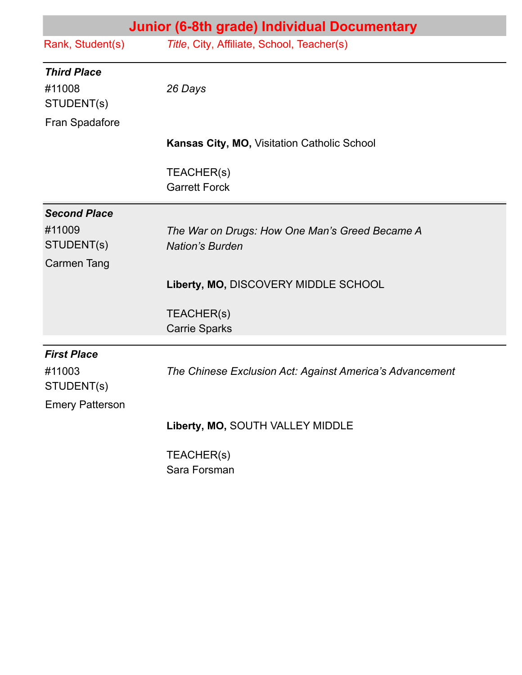| Junior (6-8th grade) Individual Documentary |                                                                          |
|---------------------------------------------|--------------------------------------------------------------------------|
| Rank, Student(s)                            | Title, City, Affiliate, School, Teacher(s)                               |
| <b>Third Place</b>                          |                                                                          |
| #11008<br>STUDENT(s)                        | 26 Days                                                                  |
| Fran Spadafore                              |                                                                          |
|                                             | Kansas City, MO, Visitation Catholic School                              |
|                                             | TEACHER(s)<br><b>Garrett Forck</b>                                       |
| <b>Second Place</b>                         |                                                                          |
| #11009<br>STUDENT(s)                        | The War on Drugs: How One Man's Greed Became A<br><b>Nation's Burden</b> |
| <b>Carmen Tang</b>                          |                                                                          |
|                                             | Liberty, MO, DISCOVERY MIDDLE SCHOOL                                     |
|                                             | TEACHER(s)                                                               |
|                                             | <b>Carrie Sparks</b>                                                     |
| <b>First Place</b>                          |                                                                          |
| #11003<br>STUDENT(s)                        | The Chinese Exclusion Act: Against America's Advancement                 |
| <b>Emery Patterson</b>                      |                                                                          |
|                                             | Liberty, MO, SOUTH VALLEY MIDDLE                                         |
|                                             | TEACHER(s)                                                               |
|                                             | Sara Forsman                                                             |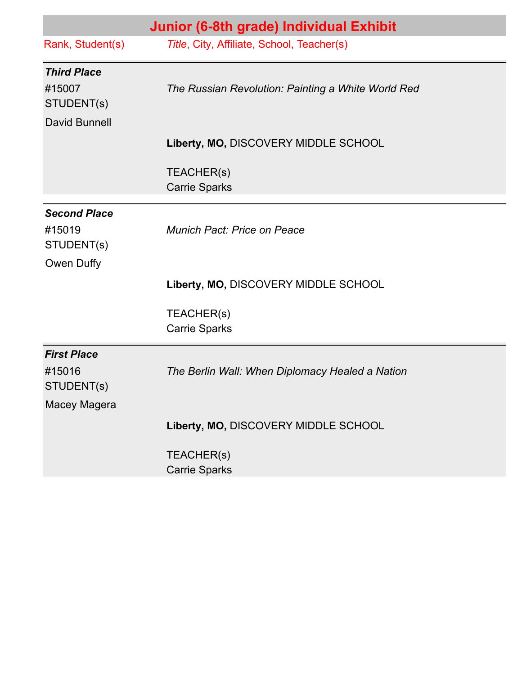|                                            | Junior (6-8th grade) Individual Exhibit            |
|--------------------------------------------|----------------------------------------------------|
| Rank, Student(s)                           | Title, City, Affiliate, School, Teacher(s)         |
| <b>Third Place</b><br>#15007<br>STUDENT(s) | The Russian Revolution: Painting a White World Red |
| David Bunnell                              |                                                    |
|                                            | Liberty, MO, DISCOVERY MIDDLE SCHOOL               |
|                                            | TEACHER(s)<br><b>Carrie Sparks</b>                 |
| <b>Second Place</b>                        |                                                    |
| #15019<br>STUDENT(s)                       | Munich Pact: Price on Peace                        |
| Owen Duffy                                 |                                                    |
|                                            | Liberty, MO, DISCOVERY MIDDLE SCHOOL               |
|                                            | TEACHER(s)<br><b>Carrie Sparks</b>                 |
|                                            |                                                    |
| <b>First Place</b><br>#15016<br>STUDENT(s) | The Berlin Wall: When Diplomacy Healed a Nation    |
| Macey Magera                               |                                                    |
|                                            | Liberty, MO, DISCOVERY MIDDLE SCHOOL               |
|                                            | TEACHER(s)<br><b>Carrie Sparks</b>                 |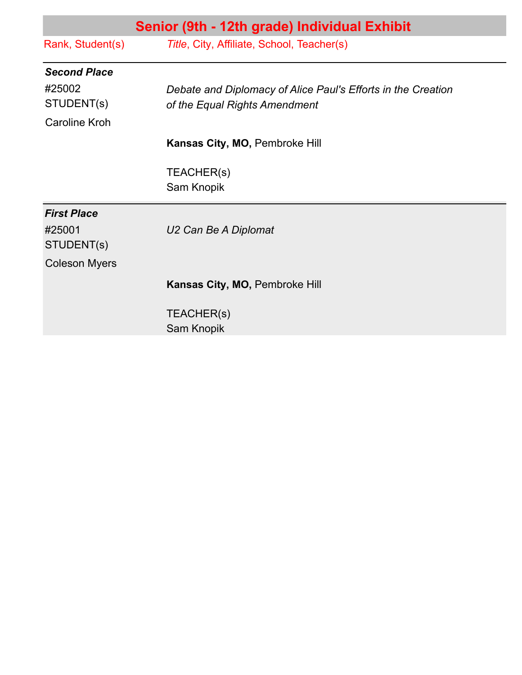| Senior (9th - 12th grade) Individual Exhibit |                                                              |
|----------------------------------------------|--------------------------------------------------------------|
| Rank, Student(s)                             | Title, City, Affiliate, School, Teacher(s)                   |
| <b>Second Place</b>                          |                                                              |
| #25002                                       | Debate and Diplomacy of Alice Paul's Efforts in the Creation |
| STUDENT(s)                                   | of the Equal Rights Amendment                                |
| <b>Caroline Kroh</b>                         |                                                              |
|                                              | Kansas City, MO, Pembroke Hill                               |
|                                              | TEACHER(s)                                                   |
|                                              | Sam Knopik                                                   |
| <b>First Place</b>                           |                                                              |
| #25001                                       | U2 Can Be A Diplomat                                         |
| STUDENT(s)                                   |                                                              |
| <b>Coleson Myers</b>                         |                                                              |
|                                              | Kansas City, MO, Pembroke Hill                               |
|                                              | TEACHER(s)                                                   |
|                                              | Sam Knopik                                                   |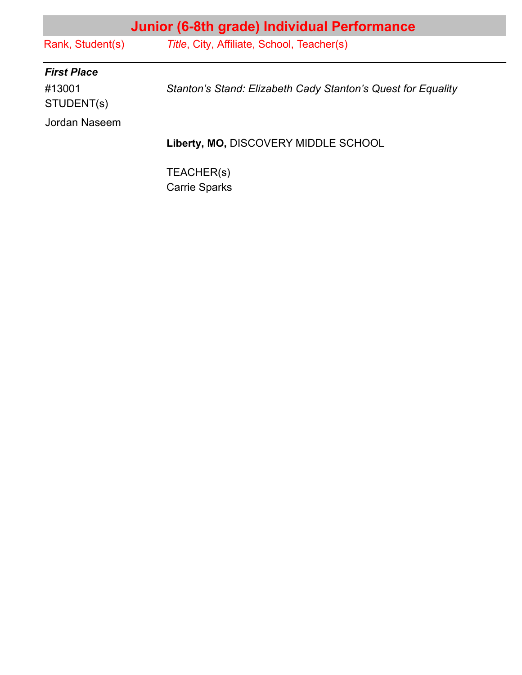| Junior (6-8th grade) Individual Performance |                                                              |
|---------------------------------------------|--------------------------------------------------------------|
| Rank, Student(s)                            | Title, City, Affiliate, School, Teacher(s)                   |
| <b>First Place</b>                          |                                                              |
| #13001<br>STUDENT(s)                        | Stanton's Stand: Elizabeth Cady Stanton's Quest for Equality |
| Jordan Naseem                               |                                                              |
|                                             | Liberty, MO, DISCOVERY MIDDLE SCHOOL                         |
|                                             | TEACHER(s)<br><b>Carrie Sparks</b>                           |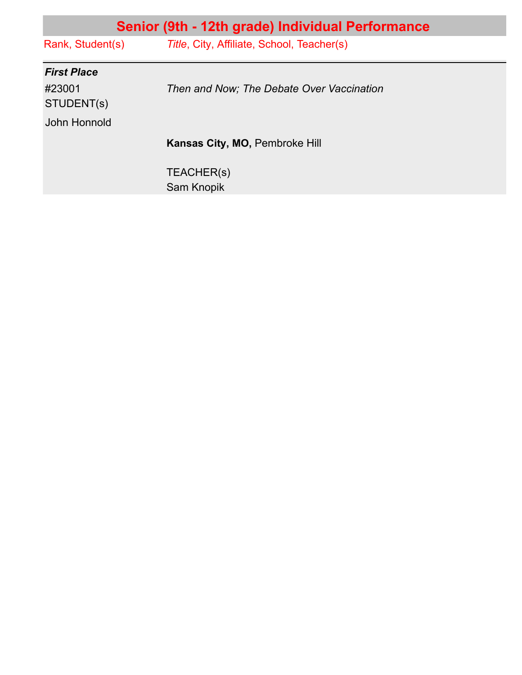| Senior (9th - 12th grade) Individual Performance |  |
|--------------------------------------------------|--|
| Title, City, Affiliate, School, Teacher(s)       |  |
|                                                  |  |
| Then and Now; The Debate Over Vaccination        |  |
|                                                  |  |
| Kansas City, MO, Pembroke Hill                   |  |
| TEACHER(s)<br>Sam Knopik                         |  |
|                                                  |  |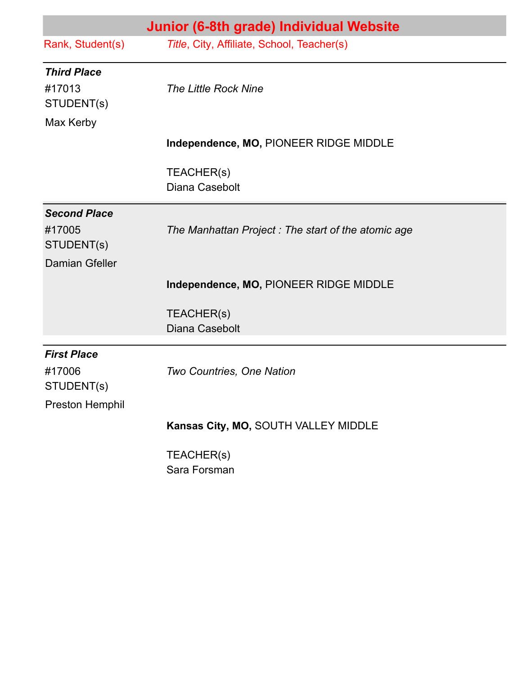|                       | Junior (6-8th grade) Individual Website            |
|-----------------------|----------------------------------------------------|
| Rank, Student(s)      | Title, City, Affiliate, School, Teacher(s)         |
| <b>Third Place</b>    |                                                    |
| #17013<br>STUDENT(s)  | <b>The Little Rock Nine</b>                        |
| Max Kerby             |                                                    |
|                       | Independence, MO, PIONEER RIDGE MIDDLE             |
|                       | TEACHER(s)                                         |
|                       | Diana Casebolt                                     |
| <b>Second Place</b>   |                                                    |
| #17005<br>STUDENT(s)  | The Manhattan Project: The start of the atomic age |
| <b>Damian Gfeller</b> |                                                    |
|                       | Independence, MO, PIONEER RIDGE MIDDLE             |
|                       | TEACHER(s)                                         |
|                       | Diana Casebolt                                     |
| <b>First Place</b>    |                                                    |
| #17006<br>STUDENT(s)  | Two Countries, One Nation                          |
| Preston Hemphil       |                                                    |
|                       | Kansas City, MO, SOUTH VALLEY MIDDLE               |
|                       | TEACHER(s)                                         |
|                       | Sara Forsman                                       |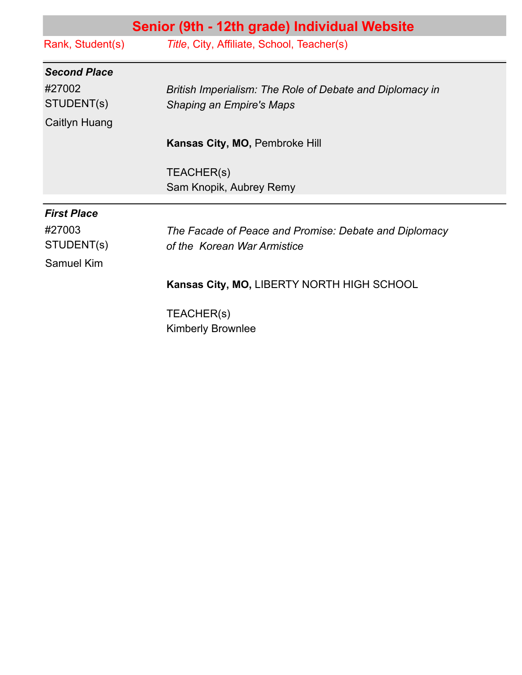|                     | Senior (9th - 12th grade) Individual Website             |
|---------------------|----------------------------------------------------------|
| Rank, Student(s)    | Title, City, Affiliate, School, Teacher(s)               |
| <b>Second Place</b> |                                                          |
| #27002              | British Imperialism: The Role of Debate and Diplomacy in |
| STUDENT(s)          | <b>Shaping an Empire's Maps</b>                          |
| Caitlyn Huang       |                                                          |
|                     | Kansas City, MO, Pembroke Hill                           |
|                     | TEACHER(s)                                               |
|                     | Sam Knopik, Aubrey Remy                                  |
| <b>First Place</b>  |                                                          |
| #27003              | The Facade of Peace and Promise: Debate and Diplomacy    |
| STUDENT(s)          | of the Korean War Armistice                              |
| Samuel Kim          |                                                          |
|                     | Kansas City, MO, LIBERTY NORTH HIGH SCHOOL               |
|                     | TEACHER(s)                                               |
|                     | <b>Kimberly Brownlee</b>                                 |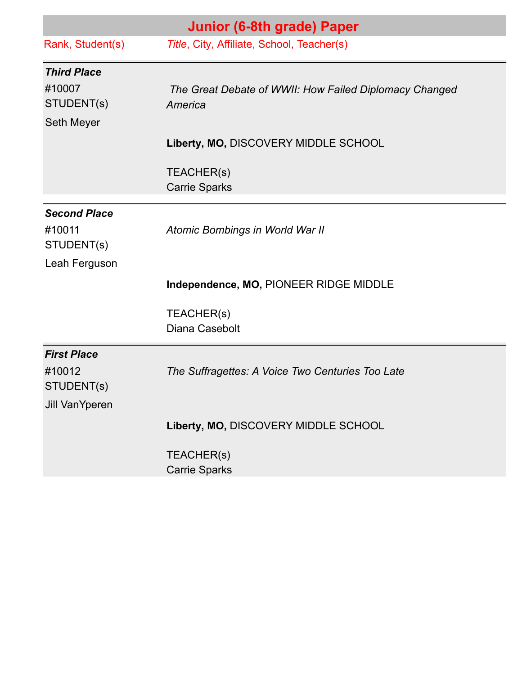|                                     | Junior (6-8th grade) Paper                                        |
|-------------------------------------|-------------------------------------------------------------------|
| Rank, Student(s)                    | Title, City, Affiliate, School, Teacher(s)                        |
| <b>Third Place</b>                  |                                                                   |
| #10007<br>STUDENT(s)                | The Great Debate of WWII: How Failed Diplomacy Changed<br>America |
| Seth Meyer                          |                                                                   |
|                                     | Liberty, MO, DISCOVERY MIDDLE SCHOOL                              |
|                                     | TEACHER(s)<br><b>Carrie Sparks</b>                                |
| <b>Second Place</b>                 |                                                                   |
| #10011<br>STUDENT(s)                | Atomic Bombings in World War II                                   |
| Leah Ferguson                       |                                                                   |
|                                     | Independence, MO, PIONEER RIDGE MIDDLE                            |
|                                     | TEACHER(s)                                                        |
|                                     | Diana Casebolt                                                    |
| <b>First Place</b>                  |                                                                   |
| #10012                              | The Suffragettes: A Voice Two Centuries Too Late                  |
| STUDENT(s)<br><b>Jill VanYperen</b> |                                                                   |
|                                     | Liberty, MO, DISCOVERY MIDDLE SCHOOL                              |
|                                     | TEACHER(s)                                                        |
|                                     | <b>Carrie Sparks</b>                                              |